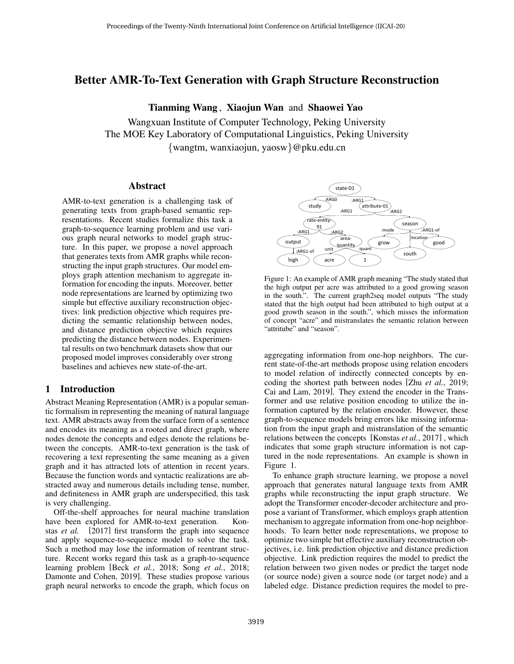# Better AMR-To-Text Generation with Graph Structure Reconstruction

Tianming Wang , Xiaojun Wan and Shaowei Yao

Wangxuan Institute of Computer Technology, Peking University The MOE Key Laboratory of Computational Linguistics, Peking University {wangtm, wanxiaojun, yaosw}@pku.edu.cn

### Abstract

AMR-to-text generation is a challenging task of generating texts from graph-based semantic representations. Recent studies formalize this task a graph-to-sequence learning problem and use various graph neural networks to model graph structure. In this paper, we propose a novel approach that generates texts from AMR graphs while reconstructing the input graph structures. Our model employs graph attention mechanism to aggregate information for encoding the inputs. Moreover, better node representations are learned by optimizing two simple but effective auxiliary reconstruction objectives: link prediction objective which requires predicting the semantic relationship between nodes, and distance prediction objective which requires predicting the distance between nodes. Experimental results on two benchmark datasets show that our proposed model improves considerably over strong baselines and achieves new state-of-the-art.

## 1 Introduction

Abstract Meaning Representation (AMR) is a popular semantic formalism in representing the meaning of natural language text. AMR abstracts away from the surface form of a sentence and encodes its meaning as a rooted and direct graph, where nodes denote the concepts and edges denote the relations between the concepts. AMR-to-text generation is the task of recovering a text representing the same meaning as a given graph and it has attracted lots of attention in recent years. Because the function words and syntactic realizations are abstracted away and numerous details including tense, number, and definiteness in AMR graph are underspecified, this task is very challenging.

Off-the-shelf approaches for neural machine translation have been explored for AMR-to-text generation. [Kon](#page-6-0)stas *[et al.](#page-6-0)* [\[2017\]](#page-6-0) first transform the graph into sequence and apply sequence-to-sequence model to solve the task. Such a method may lose the information of reentrant structure. Recent works regard this task as a graph-to-sequence learning problem [Beck *et al.*[, 2018;](#page-6-1) Song *et al.*[, 2018;](#page-6-2) [Damonte and Cohen, 2019\]](#page-6-3). These studies propose various graph neural networks to encode the graph, which focus on

<span id="page-0-0"></span>

Figure 1: An example of AMR graph meaning "The study stated that the high output per acre was attributed to a good growing season in the south.". The current graph2seq model outputs "The study stated that the high output had been attributed to high output at a good growth season in the south.", which misses the information of concept "acre" and mistranslates the semantic relation between "attritube" and "season".

aggregating information from one-hop neighbors. The current state-of-the-art methods propose using relation encoders to model relation of indirectly connected concepts by encoding the shortest path between nodes [Zhu *et al.*[, 2019;](#page-6-4) [Cai and Lam, 2019\]](#page-6-5). They extend the encoder in the Transformer and use relative position encoding to utilize the information captured by the relation encoder. However, these graph-to-sequence models bring errors like missing information from the input graph and mistranslation of the semantic relations between the concepts [\[Konstas](#page-6-0) *et al.*, 2017] , which indicates that some graph structure information is not captured in the node representations. An example is shown in Figure [1.](#page-0-0)

To enhance graph structure learning, we propose a novel approach that generates natural language texts from AMR graphs while reconstructing the input graph structure. We adopt the Transformer encoder-decoder architecture and propose a variant of Transformer, which employs graph attention mechanism to aggregate information from one-hop neighborhoods. To learn better node representations, we propose to optimize two simple but effective auxiliary reconstruction objectives, i.e. link prediction objective and distance prediction objective. Link prediction requires the model to predict the relation between two given nodes or predict the target node (or source node) given a source node (or target node) and a labeled edge. Distance prediction requires the model to pre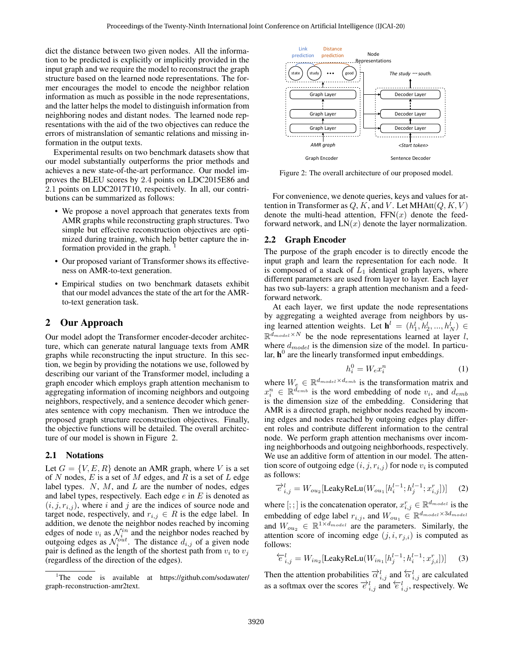dict the distance between two given nodes. All the information to be predicted is explicitly or implicitly provided in the input graph and we require the model to reconstruct the graph structure based on the learned node representations. The former encourages the model to encode the neighbor relation information as much as possible in the node representations, and the latter helps the model to distinguish information from neighboring nodes and distant nodes. The learned node representations with the aid of the two objectives can reduce the errors of mistranslation of semantic relations and missing information in the output texts.

Experimental results on two benchmark datasets show that our model substantially outperforms the prior methods and achieves a new state-of-the-art performance. Our model improves the BLEU scores by 2.4 points on LDC2015E86 and 2.1 points on LDC2017T10, respectively. In all, our contributions can be summarized as follows:

- We propose a novel approach that generates texts from AMR graphs while reconstructing graph structures. Two simple but effective reconstruction objectives are optimized during training, which help better capture the information provided in the graph. [1](#page-1-0)
- Our proposed variant of Transformer shows its effectiveness on AMR-to-text generation.
- Empirical studies on two benchmark datasets exhibit that our model advances the state of the art for the AMRto-text generation task.

## 2 Our Approach

Our model adopt the Transformer encoder-decoder architecture, which can generate natural language texts from AMR graphs while reconstructing the input structure. In this section, we begin by providing the notations we use, followed by describing our variant of the Transformer model, including a graph encoder which employs graph attention mechanism to aggregating information of incoming neighbors and outgoing neighbors, respectively, and a sentence decoder which generates sentence with copy mechanism. Then we introduce the proposed graph structure reconstruction objectives. Finally, the objective functions will be detailed. The overall architecture of our model is shown in Figure [2.](#page-1-1)

### 2.1 Notations

Let  $G = \{V, E, R\}$  denote an AMR graph, where V is a set of N nodes, E is a set of M edges, and R is a set of L edge label types.  $N$ ,  $M$ , and  $L$  are the number of nodes, edges and label types, respectively. Each edge  $e$  in  $E$  is denoted as  $(i, j, r_{i,j})$ , where i and j are the indices of source node and target node, respectively, and  $r_{i,j} \in R$  is the edge label. In addition, we denote the neighbor nodes reached by incoming edges of node  $v_i$  as  $\mathcal{N}_i^{in}$  and the neighbor nodes reached by outgoing edges as  $\mathcal{N}_i^{out}$ . The distance  $d_{i,j}$  of a given node pair is defined as the length of the shortest path from  $v_i$  to  $v_j$ (regardless of the direction of the edges).

<span id="page-1-1"></span>

Figure 2: The overall architecture of our proposed model.

For convenience, we denote queries, keys and values for attention in Transformer as  $Q, K$ , and V. Let MHAtt $(Q, K, V)$ denote the multi-head attention,  $FFN(x)$  denote the feedforward network, and  $LN(x)$  denote the layer normalization.

### 2.2 Graph Encoder

The purpose of the graph encoder is to directly encode the input graph and learn the representation for each node. It is composed of a stack of  $L_1$  identical graph layers, where different parameters are used from layer to layer. Each layer has two sub-layers: a graph attention mechanism and a feedforward network.

At each layer, we first update the node representations by aggregating a weighted average from neighbors by using learned attention weights. Let  $\mathbf{h}^l = (h_1^l, h_2^l, ..., h_N^l) \in$  $\mathbb{R}^{d_{model} \times N}$  be the node representations learned at layer l, where  $d_{model}$  is the dimension size of the model. In particular,  $h^0$  are the linearly transformed input embeddings.

$$
h_i^0 = W_e x_i^n \tag{1}
$$

where  $W_e \in \mathbb{R}^{d_{model} \times d_{emb}}$  is the transformation matrix and  $x_i^n \in \mathbb{R}^{\bar{d}_{emb}}$  is the word embedding of node  $v_i$ , and  $d_{emb}$ is the dimension size of the embedding. Considering that AMR is a directed graph, neighbor nodes reached by incoming edges and nodes reached by outgoing edges play different roles and contribute different information to the central node. We perform graph attention mechanisms over incoming neighborhoods and outgoing neighborhoods, respectively. We use an additive form of attention in our model. The attention score of outgoing edge  $(i, j, r_{i,j})$  for node  $v_i$  is computed as follows:

$$
\vec{e}_{i,j}^{l} = W_{ou_2}[\text{LeakyReLU}(W_{ou_1}[h_i^{l-1}; h_j^{l-1}; x_{i,j}^r])] \quad (2)
$$

where [; ; ] is the concatenation operator,  $x_{i,j}^r \in \mathbb{R}^{d_{model}}$  is the embedding of edge label  $r_{i,j}$ , and  $W_{ou_1} \in \mathbb{R}^{d_{model} \times 3d_{model}}$ and  $W_{ou_2} \in \mathbb{R}^{1 \times d_{model}}$  are the parameters. Similarly, the attention score of incoming edge  $(j, i, r_{i,i})$  is computed as follows:

$$
\overleftarrow{e}_{i,j}^l = W_{in_2}[\text{LeakyReLU}(W_{in_1}[h_j^{l-1}; h_i^{l-1}; x_{j,i}^r])] \tag{3}
$$

Then the attention probabilities  $\overrightarrow{\alpha}_{i,j}^l$  and  $\overleftarrow{\alpha}_{i,j}^l$  are calculated as a softmax over the scores  $\overrightarrow{e}_{i,j}^l$  and  $\overleftarrow{e}_{i,j}^l$ , respectively. We

<span id="page-1-0"></span><sup>&</sup>lt;sup>1</sup>The code is available at [https://github.com/sodawater/](https://github.com/sodawater/graph-reconstruction-amr2text) [graph-reconstruction-amr2text.](https://github.com/sodawater/graph-reconstruction-amr2text)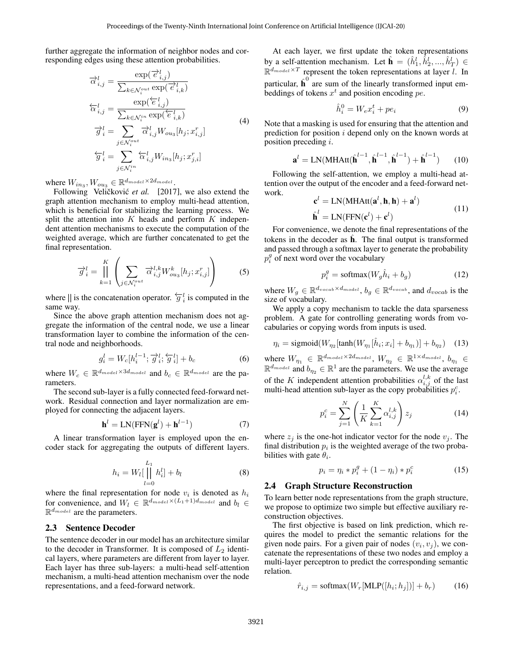further aggregate the information of neighbor nodes and corresponding edges using these attention probabilities.

$$
\overrightarrow{\alpha}_{i,j}^{l} = \frac{\exp(\overrightarrow{e}_{i,j}^{l})}{\sum_{k \in \mathcal{N}_i^{out}} \exp(\overrightarrow{e}_{i,k}^{l})}
$$
\n
$$
\overleftarrow{\alpha}_{i,j}^{l} = \frac{\exp(\overleftarrow{e}_{i,j}^{l})}{\sum_{k \in \mathcal{N}_i^{in}} \exp(\overleftarrow{e}_{i,k}^{l})}
$$
\n
$$
\overrightarrow{g}_i^{l} = \sum_{j \in \mathcal{N}_i^{out}} \overrightarrow{\alpha}_{i,j}^{l} W_{ous}[h_j; x_{i,j}^{r}]
$$
\n
$$
\overleftarrow{g}_i^{l} = \sum_{j \in \mathcal{N}_i^{in}} \overleftarrow{\alpha}_{i,j}^{l} W_{ins}[h_j; x_{j,i}^{r}]
$$
\n(4)

where  $W_{in_3}, W_{ou_3} \in \mathbb{R}^{d_{model} \times 2d_{model}}$ .

Following Veličković et al. [\[2017\]](#page-6-6), we also extend the graph attention mechanism to employ multi-head attention, which is beneficial for stabilizing the learning process. We split the attention into  $K$  heads and perform  $K$  independent attention mechanisms to execute the computation of the weighted average, which are further concatenated to get the final representation.

$$
\overrightarrow{g}_i^l = \prod_{k=1}^K \left( \sum_{j \in \mathcal{N}_i^{out}} \overrightarrow{\alpha}_{i,j}^{l,k} W_{ou_3}^k[h_j; x_{i,j}^r] \right) \tag{5}
$$

where || is the concatenation operator.  $\overleftarrow{g}_i^l$  is computed in the same way.

Since the above graph attention mechanism does not aggregate the information of the central node, we use a linear transformation layer to combine the information of the central node and neighborhoods.

$$
g_i^l = W_c[h_i^{l-1}; \overrightarrow{g}_i^l; \overleftarrow{g}_i^l] + b_c \tag{6}
$$

where  $W_c \in \mathbb{R}^{d_{model} \times 3d_{model}}$  and  $b_c \in \mathbb{R}^{d_{model}}$  are the parameters.

The second sub-layer is a fully connected feed-forward network. Residual connection and layer normalization are employed for connecting the adjacent layers.

$$
\mathbf{h}^{l} = \text{LN}(\text{FFN}(\mathbf{g}^{l}) + \mathbf{h}^{l-1})
$$
 (7)

A linear transformation layer is employed upon the encoder stack for aggregating the outputs of different layers.

$$
h_i = W_l \left[ \prod_{l=0}^{L_1} h_i^l \right] + b_l \tag{8}
$$

where the final representation for node  $v_i$  is denoted as  $h_i$ for convenience, and  $W_l \in \mathbb{R}^{d_{model} \times (L_1 + 1)d_{model}}$  and  $b_l \in$  $\mathbb{R}^{d_{model}}$  are the parameters.

#### 2.3 Sentence Decoder

The sentence decoder in our model has an architecture similar to the decoder in Transformer. It is composed of  $L_2$  identical layers, where parameters are different from layer to layer. Each layer has three sub-layers: a multi-head self-attention mechanism, a multi-head attention mechanism over the node representations, and a feed-forward network.

At each layer, we first update the token representations by a self-attention mechanism. Let  $\hat{\mathbf{h}} = (\hat{h}_1^l, \hat{h}_2^l, ..., \hat{h}_T^l) \in$  $\mathbb{R}^{d_{model} \times T}$  represent the token representations at layer l. In particular,  $\hat{\textbf{h}}^0$  are sum of the linearly transformed input embeddings of tokens  $x^t$  and position encoding  $pe$ .

$$
\hat{h}_i^0 = W_e x_i^t + p e_i \tag{9}
$$

Note that a masking is used for ensuring that the attention and prediction for position  $i$  depend only on the known words at position preceding i.

$$
\mathbf{a}^{l} = \text{LN}(\text{MHAtt}(\hat{\mathbf{h}}^{l-1}, \hat{\mathbf{h}}^{l-1}, \hat{\mathbf{h}}^{l-1}) + \hat{\mathbf{h}}^{l-1})
$$
 (10)

Following the self-attention, we employ a multi-head attention over the output of the encoder and a feed-forward network.

$$
\mathbf{c}^{l} = \text{LN}(\text{MHAtt}(\mathbf{a}^{l}, \mathbf{h}, \mathbf{h}) + \mathbf{a}^{l})
$$
  

$$
\hat{\mathbf{h}}^{l} = \text{LN}(\text{FFN}(\mathbf{c}^{l}) + \mathbf{c}^{l})
$$
 (11)

For convenience, we denote the final representations of the tokens in the decoder as  $\hat{h}$ . The final output is transformed and passed through a softmax layer to generate the probability  $p_i^g$  of next word over the vocabulary

$$
p_i^g = \text{softmax}(W_g \hat{h}_i + b_g) \tag{12}
$$

where  $W_g \in \mathbb{R}^{d_{vocab} \times d_{model}}$ ,  $b_g \in \mathbb{R}^{d_{vocab}}$ , and  $d_{vocab}$  is the size of vocabulary.

We apply a copy mechanism to tackle the data sparseness problem. A gate for controlling generating words from vocabularies or copying words from inputs is used.

$$
\eta_i = \text{sigmoid}(W_{\eta_2}[\tanh(W_{\eta_1}[\hat{h}_i; x_i] + b_{\eta_1})] + b_{\eta_2}) \quad (13)
$$

where  $W_{\eta_1} \in \mathbb{R}^{d_{model} \times 2d_{model}}$ ,  $W_{\eta_2} \in \mathbb{R}^{1 \times d_{model}}$ ,  $b_{\eta_1} \in$  $\mathbb{R}^{d_{model}}$  and  $b_{\eta_2} \in \mathbb{R}^1$  are the parameters. We use the average of the K independent attention probabilities  $\alpha_{i,j}^{l,k}$  of the last multi-head attention sub-layer as the copy probabilities  $p_i^c$ .

$$
p_i^c = \sum_{j=1}^N \left( \frac{1}{K} \sum_{k=1}^K \alpha_{i,j}^{l,k} \right) z_j
$$
 (14)

where  $z_j$  is the one-hot indicator vector for the node  $v_j$ . The final distribution  $p_i$  is the weighted average of the two probabilities with gate  $\theta_i$ .

$$
p_i = \eta_i * p_i^g + (1 - \eta_i) * p_i^c \tag{15}
$$

#### 2.4 Graph Structure Reconstruction

To learn better node representations from the graph structure, we propose to optimize two simple but effective auxiliary reconstruction objectives.

The first objective is based on link prediction, which requires the model to predict the semantic relations for the given node pairs. For a given pair of nodes  $(v_i, v_j)$ , we concatenate the representations of these two nodes and employ a multi-layer perceptron to predict the corresponding semantic relation.

$$
\hat{r}_{i,j} = \text{softmax}(W_r[\text{MLP}([h_i; h_j])] + b_r)
$$
(16)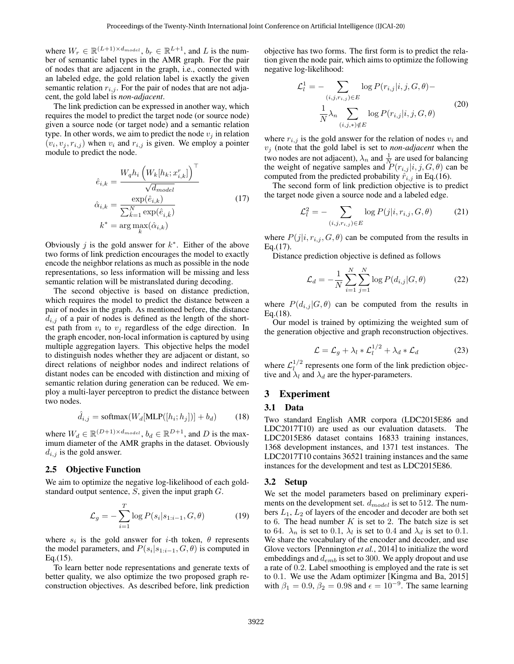where  $W_r \in \mathbb{R}^{(L+1) \times d_{model}}$ ,  $b_r \in \mathbb{R}^{L+1}$ , and L is the number of semantic label types in the AMR graph. For the pair of nodes that are adjacent in the graph, i.e., connected with an labeled edge, the gold relation label is exactly the given semantic relation  $r_{i,j}$ . For the pair of nodes that are not adjacent, the gold label is *non-adjacent*.

The link prediction can be expressed in another way, which requires the model to predict the target node (or source node) given a source node (or target node) and a semantic relation type. In other words, we aim to predict the node  $v_j$  in relation  $(v_i, v_j, r_{i,j})$  when  $v_i$  and  $r_{i,j}$  is given. We employ a pointer module to predict the node.

$$
\hat{e}_{i,k} = \frac{W_q h_i \left( W_k[h_k; x_{i,k}^r] \right)^{\top}}{\sqrt{d_{model}}}
$$
\n
$$
\hat{\alpha}_{i,k} = \frac{\exp(\hat{e}_{i,k})}{\sum_{\hat{k}=1}^N \exp(\hat{e}_{i,\hat{k}})}
$$
\n
$$
k^* = \arg \max_k(\hat{\alpha}_{i,k})
$$
\n(17)

Obviously *j* is the gold answer for  $k^*$ . Either of the above two forms of link prediction encourages the model to exactly encode the neighbor relations as much as possible in the node representations, so less information will be missing and less semantic relation will be mistranslated during decoding.

The second objective is based on distance prediction, which requires the model to predict the distance between a pair of nodes in the graph. As mentioned before, the distance  $d_{i,j}$  of a pair of nodes is defined as the length of the shortest path from  $v_i$  to  $v_j$  regardless of the edge direction. In the graph encoder, non-local information is captured by using multiple aggregation layers. This objective helps the model to distinguish nodes whether they are adjacent or distant, so direct relations of neighbor nodes and indirect relations of distant nodes can be encoded with distinction and mixing of semantic relation during generation can be reduced. We employ a multi-layer perceptron to predict the distance between two nodes.

$$
\hat{d}_{i,j} = \text{softmax}(W_d[\text{MLP}([h_i; h_j])] + b_d)
$$
 (18)

where  $W_d \in \mathbb{R}^{(D+1) \times d_{model}}$ ,  $b_d \in \mathbb{R}^{D+1}$ , and D is the maximum diameter of the AMR graphs in the dataset. Obviously  $d_{i,j}$  is the gold answer.

## 2.5 Objective Function

We aim to optimize the negative log-likelihood of each goldstandard output sentence,  $S$ , given the input graph  $G$ .

$$
\mathcal{L}_g = -\sum_{i=1}^T \log P(s_i|s_{1:i-1}, G, \theta) \tag{19}
$$

where  $s_i$  is the gold answer for *i*-th token,  $\theta$  represents the model parameters, and  $P(s_i|s_{1:i-1}, G, \theta)$  is computed in  $Eq.(15)$ .

To learn better node representations and generate texts of better quality, we also optimize the two proposed graph reconstruction objectives. As described before, link prediction objective has two forms. The first form is to predict the relation given the node pair, which aims to optimize the following negative log-likelihood:

$$
\mathcal{L}_l^1 = -\sum_{(i,j,r_{i,j}) \in E} \log P(r_{i,j}|i,j,G,\theta) - \frac{1}{N} \lambda_n \sum_{(i,j)*j \notin E} \log P(r_{i,j}|i,j,G,\theta)
$$
\n(20)

where  $r_{i,j}$  is the gold answer for the relation of nodes  $v_i$  and  $v_i$  (note that the gold label is set to *non-adjacent* when the two nodes are not adjacent),  $\lambda_n$  and  $\frac{1}{N}$  are used for balancing the weight of negative samples and  $P(r_{i,j} | i, j, G, \theta)$  can be computed from the predicted probability  $\hat{r}_{i,j}$  in Eq.(16).

The second form of link prediction objective is to predict the target node given a source node and a labeled edge.

$$
\mathcal{L}_l^2 = -\sum_{(i,j,r_{i,j}) \in E} \log P(j|i,r_{i,j},G,\theta) \tag{21}
$$

where  $P(j|i, r_{i,j}, G, \theta)$  can be computed from the results in Eq.(17).

Distance prediction objective is defined as follows

$$
\mathcal{L}_d = -\frac{1}{N} \sum_{i=1}^{N} \sum_{j=1}^{N} \log P(d_{i,j} | G, \theta)
$$
 (22)

where  $P(d_{i,j} | G, \theta)$  can be computed from the results in Eq.(18).

Our model is trained by optimizing the weighted sum of the generation objective and graph reconstruction objectives.

$$
\mathcal{L} = \mathcal{L}_g + \lambda_l * \mathcal{L}_l^{1/2} + \lambda_d * \mathcal{L}_d \tag{23}
$$

where  $\mathcal{L}_l^{1/2}$  $l^{1/2}$  represents one form of the link prediction objective and  $\lambda_l$  and  $\lambda_d$  are the hyper-parameters.

## 3 Experiment

#### 3.1 Data

Two standard English AMR corpora (LDC2015E86 and LDC2017T10) are used as our evaluation datasets. The LDC2015E86 dataset contains 16833 training instances, 1368 development instances, and 1371 test instances. The LDC2017T10 contains 36521 training instances and the same instances for the development and test as LDC2015E86.

### 3.2 Setup

We set the model parameters based on preliminary experiments on the development set.  $d_{model}$  is set to 512. The numbers  $L_1$ ,  $L_2$  of layers of the encoder and decoder are both set to 6. The head number  $K$  is set to 2. The batch size is set to 64.  $\lambda_n$  is set to 0.1,  $\lambda_l$  is set to 0.4 and  $\lambda_d$  is set to 0.1. We share the vocabulary of the encoder and decoder, and use Glove vectors [\[Pennington](#page-6-7) *et al.*, 2014] to initialize the word embeddings and  $d_{emb}$  is set to 300. We apply dropout and use a rate of 0.2. Label smoothing is employed and the rate is set to 0.1. We use the Adam optimizer [\[Kingma and Ba, 2015\]](#page-6-8) with  $\beta_1 = 0.9$ ,  $\beta_2 = 0.98$  and  $\epsilon = 10^{-9}$ . The same learning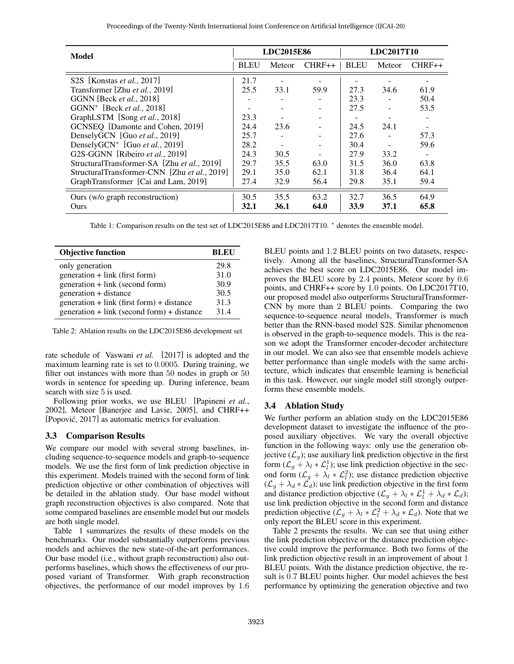| Proceedings of the Twenty-Ninth International Joint Conference on Artificial Intelligence (IJCAI-20) |  |  |  |
|------------------------------------------------------------------------------------------------------|--|--|--|
|------------------------------------------------------------------------------------------------------|--|--|--|

<span id="page-4-0"></span>

| Model                                        | LDC2015E86  |        | LDC2017T10 |             |                          |          |
|----------------------------------------------|-------------|--------|------------|-------------|--------------------------|----------|
|                                              | <b>BLEU</b> | Meteor | $CHRF++$   | <b>BLEU</b> | Meteor                   | $CHRF++$ |
| S2S [Konstas <i>et al.</i> , 2017]           | 21.7        |        |            |             |                          |          |
| Transformer [Zhu et al., 2019]               | 25.5        | 33.1   | 59.9       | 27.3        | 34.6                     | 61.9     |
| GGNN [Beck <i>et al.</i> , 2018]             |             |        |            | 23.3        |                          | 50.4     |
| GGNN <sup>*</sup> [Beck et al., 2018]        |             |        |            | 27.5        | ٠                        | 53.5     |
| GraphLSTM [Song et al., 2018]                | 23.3        |        |            |             | $\overline{\phantom{a}}$ |          |
| GCNSEQ [Damonte and Cohen, 2019]             | 24.4        | 23.6   |            | 24.5        | 24.1                     |          |
| DenselyGCN [Guo et al., 2019]                | 25.7        |        |            | 27.6        |                          | 57.3     |
| DenselyGCN* [Guo et al., 2019]               | 28.2        |        |            | 30.4        |                          | 59.6     |
| G2S-GGNN [Ribeiro et al., 2019]              | 24.3        | 30.5   |            | 27.9        | 33.2                     |          |
| StructuralTransformer-SA [Zhu et al., 2019]  | 29.7        | 35.5   | 63.0       | 31.5        | 36.0                     | 63.8     |
| StructuralTransformer-CNN [Zhu et al., 2019] | 29.1        | 35.0   | 62.1       | 31.8        | 36.4                     | 64.1     |
| GraphTransformer [Cai and Lam, 2019]         | 27.4        | 32.9   | 56.4       | 29.8        | 35.1                     | 59.4     |
| Ours (w/o graph reconstruction)              | 30.5        | 35.5   | 63.2       | 32.7        | 36.5                     | 64.9     |
| Ours                                         | 32.1        | 36.1   | 64.0       | 33.9        | 37.1                     | 65.8     |

Table 1: Comparison results on the test set of LDC2015E86 and LDC2017T10. \* denotes the ensemble model.

<span id="page-4-1"></span>

| <b>Objective function</b>                   | RLEU |
|---------------------------------------------|------|
| only generation                             | 29.8 |
| generation + link (first form)              | 31.0 |
| generation + link (second form)             | 30.9 |
| generation + distance                       | 30.5 |
| $generation + link (first form) + distance$ | 31.3 |
| generation + link (second form) + distance  | 314  |

Table 2: Ablation results on the LDC2015E86 development set

rate schedule of [Vaswani](#page-6-11) *et al.* [\[2017\]](#page-6-11) is adopted and the maximum learning rate is set to 0.0005. During training, we filter out instances with more than 50 nodes in graph or 50 words in sentence for speeding up. During inference, beam search with size 5 is used.

Following prior works, we use BLEU [\[Papineni](#page-6-12) *et al.*, [2002\]](#page-6-12), Meteor [\[Banerjee and Lavie, 2005\]](#page-6-13), and CHRF++ [Popović, 2017] as automatic metrics for evaluation.

### 3.3 Comparison Results

We compare our model with several strong baselines, including sequence-to-sequence models and graph-to-sequence models. We use the first form of link prediction objective in this experiment. Models trained with the second form of link prediction objective or other combination of objectives will be detailed in the ablation study. Our base model without graph reconstruction objectives is also compared. Note that some compared baselines are ensemble model but our models are both single model.

Table [1](#page-4-0) summarizes the results of these models on the benchmarks. Our model substantially outperforms previous models and achieves the new state-of-the-art performances. Our base model (i.e., without graph reconstruction) also outperforms baselines, which shows the effectiveness of our proposed variant of Transformer. With graph reconstruction objectives, the performance of our model improves by 1.6 BLEU points and 1.2 BLEU points on two datasets, respectively. Among all the baselines, StructuralTransformer-SA achieves the best score on LDC2015E86. Our model improves the BLEU score by 2.4 points, Meteor score by 0.6 points, and CHRF++ score by 1.0 points. On LDC2017T10, our proposed model also outperforms StructuralTransformer-CNN by more than 2 BLEU points. Comparing the two sequence-to-sequence neural models, Transformer is much better than the RNN-based model S2S. Similar phenomenon is observed in the graph-to-sequence models. This is the reason we adopt the Transformer encoder-decoder architecture in our model. We can also see that ensemble models achieve better performance than single models with the same architecture, which indicates that ensemble learning is beneficial in this task. However, our single model still strongly outperforms these ensemble models.

### 3.4 Ablation Study

We further perform an ablation study on the LDC2015E86 development dataset to investigate the influence of the proposed auxiliary objectives. We vary the overall objective function in the following ways: only use the generation objective  $(\mathcal{L}_q)$ ; use auxiliary link prediction objective in the first form  $(\mathcal{L}_g + \lambda_l * \mathcal{L}_l^1)$ ; use link prediction objective in the second form  $(\mathcal{L}_g + \lambda_l * \mathcal{L}_l^2)$ ; use distance prediction objective  $(\mathcal{L}_g + \lambda_d * \mathcal{L}_d)$ ; use link prediction objective in the first form and distance prediction objective  $(\mathcal{L}_g + \lambda_l * \mathcal{L}_l^1 + \lambda_d * \mathcal{L}_d)$ ; use link prediction objective in the second form and distance prediction objective  $(\mathcal{L}_g + \lambda_l * \mathcal{L}_l^2 + \lambda_d * \mathcal{L}_d)$ . Note that we only report the BLEU score in this experiment.

Table [2](#page-4-1) presents the results. We can see that using either the link prediction objective or the distance prediction objective could improve the performance. Both two forms of the link prediction objective result in an improvement of about 1 BLEU points. With the distance prediction objective, the result is 0.7 BLEU points higher. Our model achieves the best performance by optimizing the generation objective and two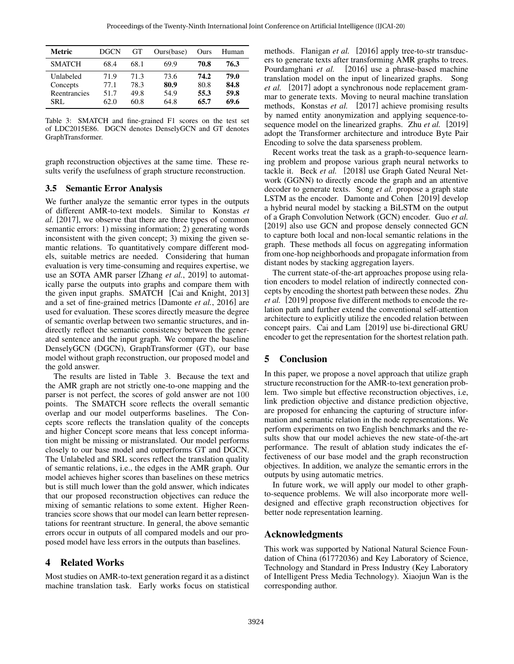<span id="page-5-0"></span>

| Metric        | <b>DGCN</b> | GT   | Ours(base) | Ours | Human |
|---------------|-------------|------|------------|------|-------|
| <b>SMATCH</b> | 68.4        | 68.1 | 69.9       | 70.8 | 76.3  |
| Unlabeled     | 71.9        | 71.3 | 73.6       | 74.2 | 79.0  |
| Concepts      | 77.1        | 78.3 | 80.9       | 80.8 | 84.8  |
| Reentrancies  | 51.7        | 49.8 | 54.9       | 55.3 | 59.8  |
| SRL.          | 62.0        | 60.8 | 64.8       | 65.7 | 69.6  |

Table 3: SMATCH and fine-grained F1 scores on the test set of LDC2015E86. DGCN denotes DenselyGCN and GT denotes GraphTransformer.

graph reconstruction objectives at the same time. These results verify the usefulness of graph structure reconstruction.

### 3.5 Semantic Error Analysis

We further analyze the semantic error types in the outputs of different AMR-to-text models. Similar to [Konstas](#page-6-0) *et [al.](#page-6-0)* [\[2017\]](#page-6-0), we observe that there are three types of common semantic errors: 1) missing information; 2) generating words inconsistent with the given concept; 3) mixing the given semantic relations. To quantitatively compare different models, suitable metrics are needed. Considering that human evaluation is very time-consuming and requires expertise, we use an SOTA AMR parser [Zhang *et al.*[, 2019\]](#page-6-15) to automatically parse the outputs into graphs and compare them with the given input graphs. SMATCH [\[Cai and Knight, 2013\]](#page-6-16) and a set of fine-grained metrics [\[Damonte](#page-6-17) *et al.*, 2016] are used for evaluation. These scores directly measure the degree of semantic overlap between two semantic structures, and indirectly reflect the semantic consistency between the generated sentence and the input graph. We compare the baseline DenselyGCN (DGCN), GraphTransformer (GT), our base model without graph reconstruction, our proposed model and the gold answer.

The results are listed in Table [3.](#page-5-0) Because the text and the AMR graph are not strictly one-to-one mapping and the parser is not perfect, the scores of gold answer are not 100 points. The SMATCH score reflects the overall semantic overlap and our model outperforms baselines. The Concepts score reflects the translation quality of the concepts and higher Concept score means that less concept information might be missing or mistranslated. Our model performs closely to our base model and outperforms GT and DGCN. The Unlabeled and SRL scores reflect the translation quality of semantic relations, i.e., the edges in the AMR graph. Our model achieves higher scores than baselines on these metrics but is still much lower than the gold answer, which indicates that our proposed reconstruction objectives can reduce the mixing of semantic relations to some extent. Higher Reentrancies score shows that our model can learn better representations for reentrant structure. In general, the above semantic errors occur in outputs of all compared models and our proposed model have less errors in the outputs than baselines.

## 4 Related Works

Most studies on AMR-to-text generation regard it as a distinct machine translation task. Early works focus on statistical methods. [Flanigan](#page-6-18) *et al.* [\[2016\]](#page-6-18) apply tree-to-str transducers to generate texts after transforming AMR graphs to trees. [Pourdamghani](#page-6-19) *et al.* [\[2016\]](#page-6-19) use a phrase-based machine translation model on the input of linearized graphs. [Song](#page-6-20) *[et al.](#page-6-20)* [\[2017\]](#page-6-20) adopt a synchronous node replacement grammar to generate texts. Moving to neural machine translation methods, [Konstas](#page-6-0) *et al.* [\[2017\]](#page-6-0) achieve promising results by named entity anonymization and applying sequence-tosequence model on the linearized graphs. Zhu *[et al.](#page-6-4)* [\[2019\]](#page-6-4) adopt the Transformer architecture and introduce Byte Pair Encoding to solve the data sparseness problem.

Recent works treat the task as a graph-to-sequence learning problem and propose various graph neural networks to tackle it. [Beck](#page-6-1) *et al.* [\[2018\]](#page-6-1) use Graph Gated Neural Network (GGNN) to directly encode the graph and an attentive decoder to generate texts. [Song](#page-6-2) *et al.* propose a graph state LSTM as the encoder. [Damonte and Cohen](#page-6-3) [\[2019\]](#page-6-3) develop a hybrid neural model by stacking a BiLSTM on the output of a Graph Convolution Network (GCN) encoder. Guo *[et al.](#page-6-9)* [\[2019\]](#page-6-9) also use GCN and propose densely connected GCN to capture both local and non-local semantic relations in the graph. These methods all focus on aggregating information from one-hop neighborhoods and propagate information from distant nodes by stacking aggregation layers.

The current state-of-the-art approaches propose using relation encoders to model relation of indirectly connected concepts by encoding the shortest path between these nodes. [Zhu](#page-6-4) *[et al.](#page-6-4)* [\[2019\]](#page-6-4) propose five different methods to encode the relation path and further extend the conventional self-attention architecture to explicitly utilize the encoded relation between concept pairs. [Cai and Lam](#page-6-5) [\[2019\]](#page-6-5) use bi-directional GRU encoder to get the representation for the shortest relation path.

## 5 Conclusion

In this paper, we propose a novel approach that utilize graph structure reconstruction for the AMR-to-text generation problem. Two simple but effective reconstruction objectives, i.e, link prediction objective and distance prediction objective, are proposed for enhancing the capturing of structure information and semantic relation in the node representations. We perform experiments on two English benchmarks and the results show that our model achieves the new state-of-the-art performance. The result of ablation study indicates the effectiveness of our base model and the graph reconstruction objectives. In addition, we analyze the semantic errors in the outputs by using automatic metrics.

In future work, we will apply our model to other graphto-sequence problems. We will also incorporate more welldesigned and effective graph reconstruction objectives for better node representation learning.

## Acknowledgments

This work was supported by National Natural Science Foundation of China (61772036) and Key Laboratory of Science, Technology and Standard in Press Industry (Key Laboratory of Intelligent Press Media Technology). Xiaojun Wan is the corresponding author.